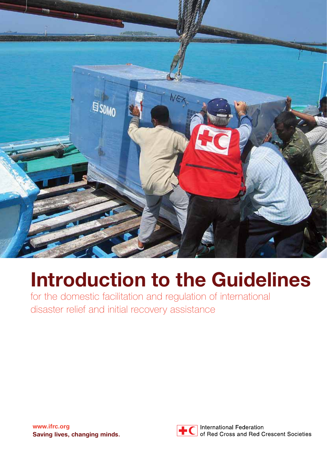

### Introduction to the Guidelines

for the domestic facilitation and regulation of international disaster relief and initial recovery assistance

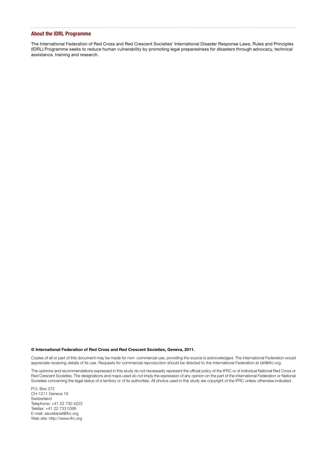#### About the IDRL Programme

The International Federation of Red Cross and Red Crescent Societies' International Disaster Response Laws, Rules and Principles (IDRL) Programme seeks to reduce human vulnerability by promoting legal preparedness for disasters through advocacy, technical assistance, training and research.

#### © International Federation of Red Cross and Red Crescent Societies, Geneva, 2011.

Copies of all or part of this document may be made for non- commercial use, providing the source is acknowledged. The International Federation would appreciate receiving details of its use. Requests for commercial reproduction should be directed to the International Federation at idrl@ifrc.org.

The opinions and recommendations expressed in this study do not necessarily represent the official policy of the IFRC or of individual National Red Cross or Red Crescent Societies. The designations and maps used do not imply the expression of any opinion on the part of the International Federation or National Societies concerning the legal status of a territory or of its authorities. All photos used in this study are copyright of the IFRC unless otherwise indicated.

P.O. Box 372 CH-1211 Geneva 19 Switzerland Telephone: +41 22 730 4222 Telefax: +41 22 733 0395 E-mail: secretariat@ifrc.org Web site: http://www.ifrc.org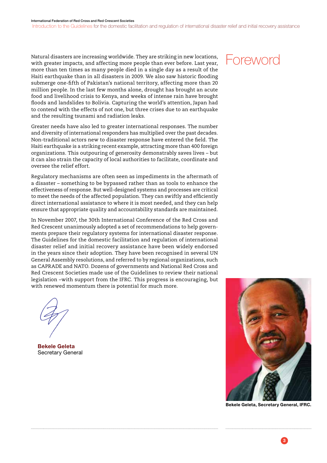Natural disasters are increasing worldwide. They are striking in new locations, with greater impacts, and affecting more people than ever before. Last year, more than ten times as many people died in a single day as a result of the Haiti earthquake than in all disasters in 2009. We also saw historic flooding submerge one-fifth of Pakistan's national territory, affecting more than 20 million people. In the last few months alone, drought has brought an acute food and livelihood crisis to Kenya, and weeks of intense rain have brought floods and landslides to Bolivia. Capturing the world's attention, Japan had to contend with the effects of not one, but three crises due to an earthquake and the resulting tsunami and radiation leaks.

Greater needs have also led to greater international responses. The number and diversity of international responders has multiplied over the past decades. Non-traditional actors new to disaster response have entered the field. The Haiti earthquake is a striking recent example, attracting more than 400 foreign organizations. This outpouring of generosity demonstrably saves lives – but it can also strain the capacity of local authorities to facilitate, coordinate and oversee the relief effort.

Regulatory mechanisms are often seen as impediments in the aftermath of a disaster – something to be bypassed rather than as tools to enhance the effectiveness of response. But well-designed systems and processes are critical to meet the needs of the affected population. They can swiftly and efficiently direct international assistance to where it is most needed, and they can help ensure that appropriate quality and accountability standards are maintained.

In November 2007, the 30th International Conference of the Red Cross and Red Crescent unanimously adopted a set of recommendations to help governments prepare their regulatory systems for international disaster response. The Guidelines for the domestic facilitation and regulation of international disaster relief and initial recovery assistance have been widely endorsed in the years since their adoption. They have been recognised in several UN General Assembly resolutions, and referred to by regional organizations, such as CAPRADE and NATO. Dozens of governments and National Red Cross and Red Crescent Societies made use of the Guidelines to review their national legislation –with support from the IFRC. This progress is encouraging, but with renewed momentum there is potential for much more.

Bekele Geleta Secretary General



Bekele Geleta, Secretary General, IFRC.

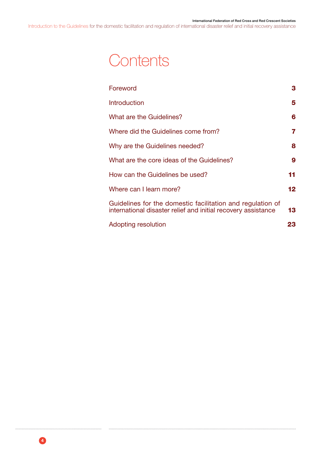### **Contents**

| Foreword                                                                                                                    | з               |
|-----------------------------------------------------------------------------------------------------------------------------|-----------------|
| <b>Introduction</b>                                                                                                         | 5               |
| What are the Guidelines?                                                                                                    | 6               |
| Where did the Guidelines come from?                                                                                         | 7               |
| Why are the Guidelines needed?                                                                                              | 8               |
| What are the core ideas of the Guidelines?                                                                                  | 9               |
| How can the Guidelines be used?                                                                                             | 11              |
| Where can I learn more?                                                                                                     | 12 <sub>2</sub> |
| Guidelines for the domestic facilitation and regulation of<br>international disaster relief and initial recovery assistance | 13              |
| Adopting resolution                                                                                                         | 23              |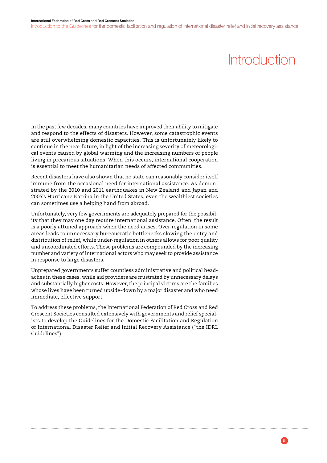### **Introduction**

In the past few decades, many countries have improved their ability to mitigate and respond to the effects of disasters. However, some catastrophic events are still overwhelming domestic capacities. This is unfortunately likely to continue in the near future, in light of the increasing severity of meteorological events caused by global warming and the increasing numbers of people living in precarious situations. When this occurs, international cooperation is essential to meet the humanitarian needs of affected communities.

Recent disasters have also shown that no state can reasonably consider itself immune from the occasional need for international assistance. As demonstrated by the 2010 and 2011 earthquakes in New Zealand and Japan and 2005's Hurricane Katrina in the United States, even the wealthiest societies can sometimes use a helping hand from abroad.

Unfortunately, very few governments are adequately prepared for the possibility that they may one day require international assistance. Often, the result is a poorly attuned approach when the need arises. Over-regulation in some areas leads to unnecessary bureaucratic bottlenecks slowing the entry and distribution of relief, while under-regulation in others allows for poor quality and uncoordinated efforts. These problems are compounded by the increasing number and variety of international actors who may seek to provide assistance in response to large disasters.

Unprepared governments suffer countless administrative and political headaches in these cases, while aid providers are frustrated by unnecessary delays and substantially higher costs. However, the principal victims are the families whose lives have been turned upside-down by a major disaster and who need immediate, effective support.

To address these problems, the International Federation of Red Cross and Red Crescent Societies consulted extensively with governments and relief specialists to develop the Guidelines for the Domestic Facilitation and Regulation of International Disaster Relief and Initial Recovery Assistance ("the IDRL Guidelines").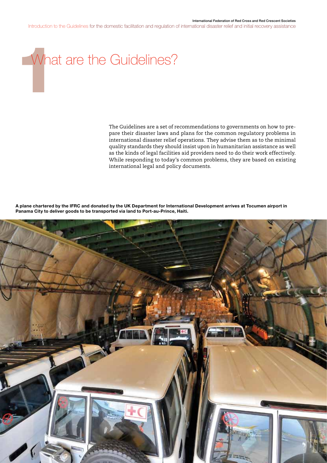# Whe What are the Guidelines?

The Guidelines are a set of recommendations to governments on how to prepare their disaster laws and plans for the common regulatory problems in international disaster relief operations. They advise them as to the minimal quality standards they should insist upon in humanitarian assistance as well as the kinds of legal facilities aid providers need to do their work effectively. While responding to today's common problems, they are based on existing international legal and policy documents.

A plane chartered by the IFRC and donated by the UK Department for International Development arrives at Tocumen airport in Panama City to deliver goods to be transported via land to Port-au-Prince, Haiti.

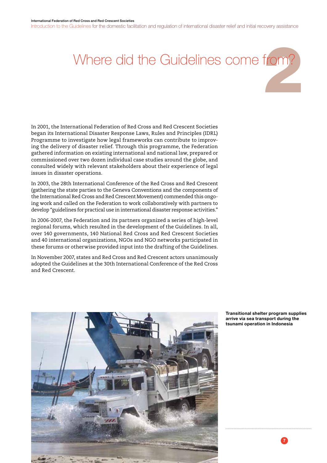# from? Where did the Guidelines come from?

In 2001, the International Federation of Red Cross and Red Crescent Societies began its International Disaster Response Laws, Rules and Principles (IDRL) Programme to investigate how legal frameworks can contribute to improving the delivery of disaster relief. Through this programme, the Federation gathered information on existing international and national law, prepared or commissioned over two dozen individual case studies around the globe, and consulted widely with relevant stakeholders about their experience of legal issues in disaster operations.

In 2003, the 28th International Conference of the Red Cross and Red Crescent (gathering the state parties to the Geneva Conventions and the components of the International Red Cross and Red Crescent Movement) commended this ongoing work and called on the Federation to work collaboratively with partners to develop "guidelines for practical use in international disaster response activities."

In 2006-2007, the Federation and its partners organized a series of high-level regional forums, which resulted in the development of the Guidelines. In all, over 140 governments, 140 National Red Cross and Red Crescent Societies and 40 international organizations, NGOs and NGO networks participated in these forums or otherwise provided input into the drafting of the Guidelines.

In November 2007, states and Red Cross and Red Crescent actors unanimously adopted the Guidelines at the 30th International Conference of the Red Cross and Red Crescent.

![](_page_6_Picture_7.jpeg)

Transitional shelter program supplies arrive via sea transport during the tsunami operation in Indonesia

![](_page_6_Picture_9.jpeg)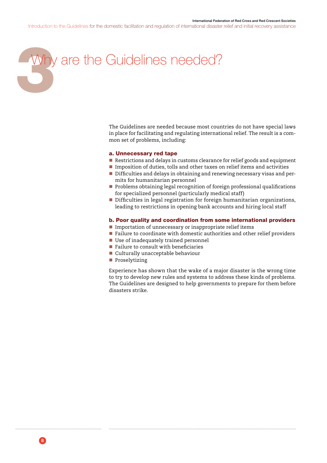# Why Why are the Guidelines needed?

The Guidelines are needed because most countries do not have special laws in place for facilitating and regulating international relief. The result is a common set of problems, including:

#### a. Unnecessary red tape

- Restrictions and delays in customs clearance for relief goods and equipment
- $\blacksquare$  Imposition of duties, tolls and other taxes on relief items and activities
- $\blacksquare$  Difficulties and delays in obtaining and renewing necessary visas and permits for humanitarian personnel
- $\blacksquare$  Problems obtaining legal recognition of foreign professional qualifications for specialized personnel (particularly medical staff)
- Difficulties in legal registration for foreign humanitarian organizations, leading to restrictions in opening bank accounts and hiring local staff

#### b. Poor quality and coordination from some international providers

- $\blacksquare$  Importation of unnecessary or inappropriate relief items
- $\blacksquare$  Failure to coordinate with domestic authorities and other relief providers
- $\blacksquare$  Use of inadequately trained personnel
- $\blacksquare$  Failure to consult with beneficiaries
- Culturally unacceptable behaviour
- **n** Proselytizing

Experience has shown that the wake of a major disaster is the wrong time to try to develop new rules and systems to address these kinds of problems. The Guidelines are designed to help governments to prepare for them before disasters strike.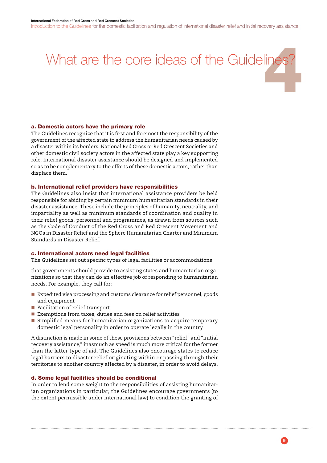# lines? What are the core ideas of the Guideline

#### a. Domestic actors have the primary role

The Guidelines recognize that it is first and foremost the responsibility of the government of the affected state to address the humanitarian needs caused by a disaster within its borders. National Red Cross or Red Crescent Societies and other domestic civil society actors in the affected state play a key supporting role. International disaster assistance should be designed and implemented so as to be complementary to the efforts of these domestic actors, rather than displace them.

#### b. International relief providers have responsibilities

The Guidelines also insist that international assistance providers be held responsible for abiding by certain minimum humanitarian standards in their disaster assistance. These include the principles of humanity, neutrality, and impartiality as well as minimum standards of coordination and quality in their relief goods, personnel and programmes, as drawn from sources such as the Code of Conduct of the Red Cross and Red Crescent Movement and NGOs in Disaster Relief and the Sphere Humanitarian Charter and Minimum Standards in Disaster Relief.

#### c. International actors need legal facilities

The Guidelines set out specific types of legal facilities or accommodations

that governments should provide to assisting states and humanitarian organizations so that they can do an effective job of responding to humanitarian needs. For example, they call for:

- Expedited visa processing and customs clearance for relief personnel, goods and equipment
- Facilitation of relief transport
- $\blacksquare$  Exemptions from taxes, duties and fees on relief activities
- Simplified means for humanitarian organizations to acquire temporary domestic legal personality in order to operate legally in the country

A distinction is made in some of these provisions between "relief" and "initial recovery assistance," inasmuch as speed is much more critical for the former than the latter type of aid. The Guidelines also encourage states to reduce legal barriers to disaster relief originating within or passing through their territories to another country affected by a disaster, in order to avoid delays.

#### d. Some legal facilities should be conditional

In order to lend some weight to the responsibilities of assisting humanitarian organizations in particular, the Guidelines encourage governments (to the extent permissible under international law) to condition the granting of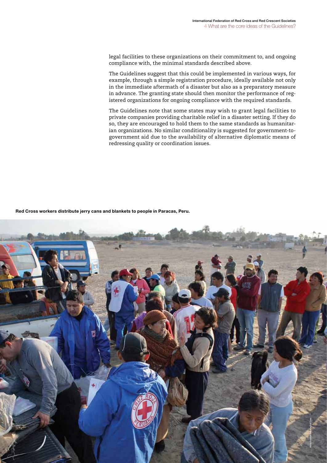legal facilities to these organizations on their commitment to, and ongoing compliance with, the minimal standards described above.

The Guidelines suggest that this could be implemented in various ways, for example, through a simple registration procedure, ideally available not only in the immediate aftermath of a disaster but also as a preparatory measure in advance. The granting state should then monitor the performance of registered organizations for ongoing compliance with the required standards.

The Guidelines note that some states may wish to grant legal facilities to private companies providing charitable relief in a disaster setting. If they do so, they are encouraged to hold them to the same standards as humanitarian organizations. No similar conditionality is suggested for government-togovernment aid due to the availability of alternative diplomatic means of redressing quality or coordination issues.

Red Cross workers distribute jerry cans and blankets to people in Paracas, Peru.

![](_page_9_Picture_5.jpeg)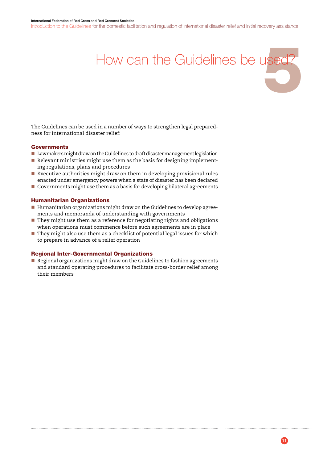# **1560?** How can the Guidelines be used?

The Guidelines can be used in a number of ways to strengthen legal preparedness for international disaster relief:

#### **Governments**

- $\blacksquare$  Lawmakers might draw on the Guidelines to draft disaster management legislation
- $\blacksquare$  Relevant ministries might use them as the basis for designing implementing regulations, plans and procedures
- Executive authorities might draw on them in developing provisional rules enacted under emergency powers when a state of disaster has been declared
- Governments might use them as a basis for developing bilateral agreements

#### Humanitarian Organizations

- n Humanitarian organizations might draw on the Guidelines to develop agreements and memoranda of understanding with governments
- $\blacksquare$  They might use them as a reference for negotiating rights and obligations when operations must commence before such agreements are in place
- $\blacksquare$  They might also use them as a checklist of potential legal issues for which to prepare in advance of a relief operation

#### Regional Inter-Governmental Organizations

 $\blacksquare$  Regional organizations might draw on the Guidelines to fashion agreements and standard operating procedures to facilitate cross-border relief among their members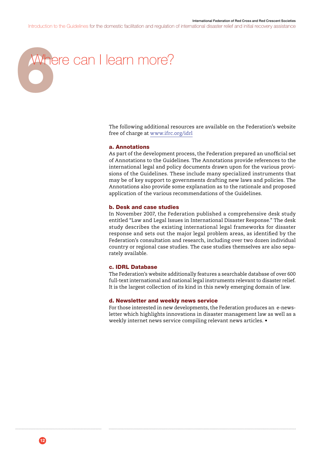# Whe Where can I learn more?

The following additional resources are available on the Federation's website free of charge at www.ifrc.org/idrl

#### a. Annotations

As part of the development process, the Federation prepared an unofficial set of Annotations to the Guidelines. The Annotations provide references to the international legal and policy documents drawn upon for the various provisions of the Guidelines. These include many specialized instruments that may be of key support to governments drafting new laws and policies. The Annotations also provide some explanation as to the rationale and proposed application of the various recommendations of the Guidelines.

#### b. Desk and case studies

In November 2007, the Federation published a comprehensive desk study entitled "Law and Legal Issues in International Disaster Response." The desk study describes the existing international legal frameworks for disaster response and sets out the major legal problem areas, as identified by the Federation's consultation and research, including over two dozen individual country or regional case studies. The case studies themselves are also separately available.

#### c. IDRL Database

The Federation's website additionally features a searchable database of over 600 full-text international and national legal instruments relevant to disaster relief. It is the largest collection of its kind in this newly emerging domain of law.

#### d. Newsletter and weekly news service

For those interested in new developments, the Federation produces an e-newsletter which highlights innovations in disaster management law as well as a weekly internet news service compiling relevant news articles. •

![](_page_11_Picture_12.jpeg)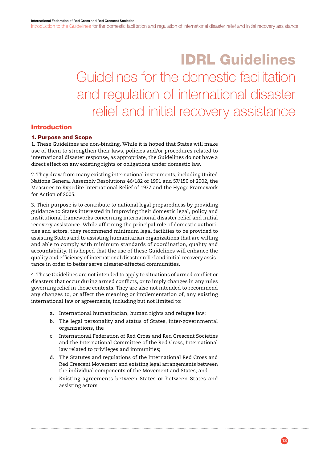#### Introduction

#### 1. Purpose and Scope

1. These Guidelines are non-binding. While it is hoped that States will make use of them to strengthen their laws, policies and/or procedures related to international disaster response, as appropriate, the Guidelines do not have a direct effect on any existing rights or obligations under domestic law.

2. They draw from many existing international instruments, including United Nations General Assembly Resolutions 46/182 of 1991 and 57/150 of 2002, the Measures to Expedite International Relief of 1977 and the Hyogo Framework for Action of 2005.

3. Their purpose is to contribute to national legal preparedness by providing guidance to States interested in improving their domestic legal, policy and institutional frameworks concerning international disaster relief and initial recovery assistance. While affirming the principal role of domestic authorities and actors, they recommend minimum legal facilities to be provided to assisting States and to assisting humanitarian organizations that are willing and able to comply with minimum standards of coordination, quality and accountability. It is hoped that the use of these Guidelines will enhance the quality and efficiency of international disaster relief and initial recovery assistance in order to better serve disaster-affected communities.

4. These Guidelines are not intended to apply to situations of armed conflict or disasters that occur during armed conflicts, or to imply changes in any rules governing relief in those contexts. They are also not intended to recommend any changes to, or affect the meaning or implementation of, any existing international law or agreements, including but not limited to:

- a. International humanitarian, human rights and refugee law;
- b. The legal personality and status of States, inter-governmental organizations, the
- c. International Federation of Red Cross and Red Crescent Societies and the International Committee of the Red Cross; International law related to privileges and immunities;
- d. The Statutes and regulations of the International Red Cross and Red Crescent Movement and existing legal arrangements between the individual components of the Movement and States; and
- e. Existing agreements between States or between States and assisting actors.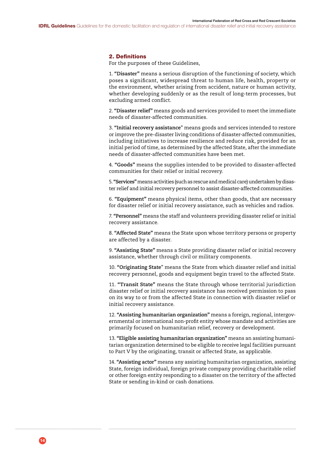#### 2. Definitions

For the purposes of these Guidelines,

1. **"Disaster"** means a serious disruption of the functioning of society, which poses a significant, widespread threat to human life, health, property or the environment, whether arising from accident, nature or human activity, whether developing suddenly or as the result of long-term processes, but excluding armed conflict.

2. **"Disaster relief"** means goods and services provided to meet the immediate needs of disaster-affected communities.

3. **"Initial recovery assistance**" means goods and services intended to restore or improve the pre-disaster living conditions of disaster-affected communities, including initiatives to increase resilience and reduce risk, provided for an initial period of time, as determined by the affected State, after the immediate needs of disaster-affected communities have been met.

4. **"Goods"** means the supplies intended to be provided to disaster-affected communities for their relief or initial recovery.

5. **"Services"** means activities (such as rescue and medical care) undertaken by disaster relief and initial recovery personnel to assist disaster-affected communities.

6. **"Equipment"** means physical items, other than goods, that are necessary for disaster relief or initial recovery assistance, such as vehicles and radios.

7. **"Personnel"** means the staff and volunteers providing disaster relief or initial recovery assistance.

8. **"Affected State"** means the State upon whose territory persons or property are affected by a disaster.

9. **"Assisting State"** means a State providing disaster relief or initial recovery assistance, whether through civil or military components.

10. **"Originating State**" means the State from which disaster relief and initial recovery personnel, goods and equipment begin travel to the affected State.

11. **"Transit State"** means the State through whose territorial jurisdiction disaster relief or initial recovery assistance has received permission to pass on its way to or from the affected State in connection with disaster relief or initial recovery assistance.

12. **"Assisting humanitarian organization"** means a foreign, regional, intergovernmental or international non-profit entity whose mandate and activities are primarily focused on humanitarian relief, recovery or development.

13. **"Eligible assisting humanitarian organization"** means an assisting humanitarian organization determined to be eligible to receive legal facilities pursuant to Part V by the originating, transit or affected State, as applicable.

14. **"Assisting actor"** means any assisting humanitarian organization, assisting State, foreign individual, foreign private company providing charitable relief or other foreign entity responding to a disaster on the territory of the affected State or sending in-kind or cash donations.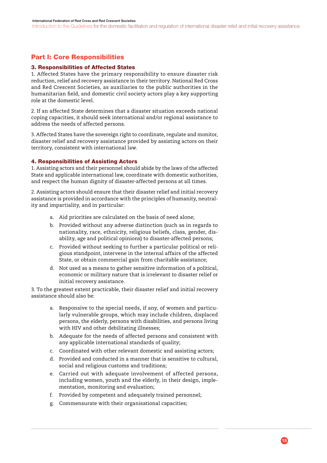#### Part I: Core Responsibilities

#### 3. Responsibilities of Affected States

1. Affected States have the primary responsibility to ensure disaster risk reduction, relief and recovery assistance in their territory. National Red Cross and Red Crescent Societies, as auxiliaries to the public authorities in the humanitarian field, and domestic civil society actors play a key supporting role at the domestic level.

2. If an affected State determines that a disaster situation exceeds national coping capacities, it should seek international and/or regional assistance to address the needs of affected persons.

3. Affected States have the sovereign right to coordinate, regulate and monitor, disaster relief and recovery assistance provided by assisting actors on their territory, consistent with international law.

#### 4. Responsibilities of Assisting Actors

1. Assisting actors and their personnel should abide by the laws of the affected State and applicable international law, coordinate with domestic authorities, and respect the human dignity of disaster-affected persons at all times.

2. Assisting actors should ensure that their disaster relief and initial recovery assistance is provided in accordance with the principles of humanity, neutrality and impartiality, and in particular:

- a. Aid priorities are calculated on the basis of need alone;
- b. Provided without any adverse distinction (such as in regards to nationality, race, ethnicity, religious beliefs, class, gender, disability, age and political opinions) to disaster-affected persons;
- c. Provided without seeking to further a particular political or religious standpoint, intervene in the internal affairs of the affected State, or obtain commercial gain from charitable assistance;
- d. Not used as a means to gather sensitive information of a political, economic or military nature that is irrelevant to disaster relief or initial recovery assistance.

3. To the greatest extent practicable, their disaster relief and initial recovery assistance should also be:

- a. Responsive to the special needs, if any, of women and particularly vulnerable groups, which may include children, displaced persons, the elderly, persons with disabilities, and persons living with HIV and other debilitating illnesses;
- b. Adequate for the needs of affected persons and consistent with any applicable international standards of quality;
- c. Coordinated with other relevant domestic and assisting actors;
- d. Provided and conducted in a manner that is sensitive to cultural, social and religious customs and traditions;
- e. Carried out with adequate involvement of affected persons, including women, youth and the elderly, in their design, implementation, monitoring and evaluation;
- f. Provided by competent and adequately trained personnel;

g. Commensurate with their organisational capacities;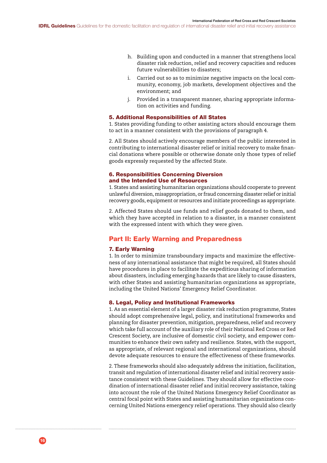- h. Building upon and conducted in a manner that strengthens local disaster risk reduction, relief and recovery capacities and reduces future vulnerabilities to disasters;
- i. Carried out so as to minimize negative impacts on the local community, economy, job markets, development objectives and the environment; and
- j. Provided in a transparent manner, sharing appropriate information on activities and funding.

#### 5. Additional Responsibilities of All States

1. States providing funding to other assisting actors should encourage them to act in a manner consistent with the provisions of paragraph 4.

2. All States should actively encourage members of the public interested in contributing to international disaster relief or initial recovery to make financial donations where possible or otherwise donate only those types of relief goods expressly requested by the affected State.

#### 6. Responsibilities Concerning Diversion and the Intended Use of Resources

1. States and assisting humanitarian organizations should cooperate to prevent unlawful diversion, misappropriation, or fraud concerning disaster relief or initial recovery goods, equipment or resources and initiate proceedings as appropriate.

2. Affected States should use funds and relief goods donated to them, and which they have accepted in relation to a disaster, in a manner consistent with the expressed intent with which they were given.

#### Part II: Early Warning and Preparedness

#### 7. Early Warning

1. In order to minimize transboundary impacts and maximize the effectiveness of any international assistance that might be required, all States should have procedures in place to facilitate the expeditious sharing of information about disasters, including emerging hazards that are likely to cause disasters, with other States and assisting humanitarian organizations as appropriate, including the United Nations' Emergency Relief Coordinator.

#### 8. Legal, Policy and Institutional Frameworks

1. As an essential element of a larger disaster risk reduction programme, States should adopt comprehensive legal, policy, and institutional frameworks and planning for disaster prevention, mitigation, preparedness, relief and recovery which take full account of the auxiliary role of their National Red Cross or Red Crescent Society, are inclusive of domestic civil society, and empower communities to enhance their own safety and resilience. States, with the support, as appropriate, of relevant regional and international organizations, should devote adequate resources to ensure the effectiveness of these frameworks.

2. These frameworks should also adequately address the initiation, facilitation, transit and regulation of international disaster relief and initial recovery assistance consistent with these Guidelines. They should allow for effective coordination of international disaster relief and initial recovery assistance, taking into account the role of the United Nations Emergency Relief Coordinator as central focal point with States and assisting humanitarian organizations concerning United Nations emergency relief operations. They should also clearly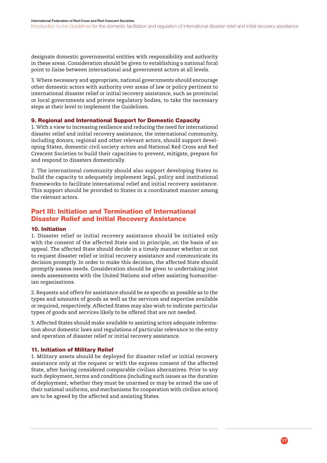designate domestic governmental entities with responsibility and authority in these areas. Consideration should be given to establishing a national focal point to liaise between international and government actors at all levels.

3. Where necessary and appropriate, national governments should encourage other domestic actors with authority over areas of law or policy pertinent to international disaster relief or initial recovery assistance, such as provincial or local governments and private regulatory bodies, to take the necessary steps at their level to implement the Guidelines.

#### 9. Regional and International Support for Domestic Capacity

1. With a view to increasing resilience and reducing the need for international disaster relief and initial recovery assistance, the international community, including donors, regional and other relevant actors, should support developing States, domestic civil society actors and National Red Cross and Red Crescent Societies to build their capacities to prevent, mitigate, prepare for and respond to disasters domestically.

2. The international community should also support developing States to build the capacity to adequately implement legal, policy and institutional frameworks to facilitate international relief and initial recovery assistance. This support should be provided to States in a coordinated manner among the relevant actors.

#### Part III: Initiation and Termination of International Disaster Relief and Initial Recovery Assistance

#### 10. Initiation

1. Disaster relief or initial recovery assistance should be initiated only with the consent of the affected State and in principle, on the basis of an appeal. The affected State should decide in a timely manner whether or not to request disaster relief or initial recovery assistance and communicate its decision promptly. In order to make this decision, the affected State should promptly assess needs. Consideration should be given to undertaking joint needs assessments with the United Nations and other assisting humanitarian organisations.

2. Requests and offers for assistance should be as specific as possible as to the types and amounts of goods as well as the services and expertise available or required, respectively. Affected States may also wish to indicate particular types of goods and services likely to be offered that are not needed.

3. Affected States should make available to assisting actors adequate information about domestic laws and regulations of particular relevance to the entry and operation of disaster relief or initial recovery assistance.

#### 11. Initiation of Military Relief

1. Military assets should be deployed for disaster relief or initial recovery assistance only at the request or with the express consent of the affected State, after having considered comparable civilian alternatives. Prior to any such deployment, terms and conditions (including such issues as the duration of deployment, whether they must be unarmed or may be armed the use of their national uniforms, and mechanisms for cooperation with civilian actors) are to be agreed by the affected and assisting States.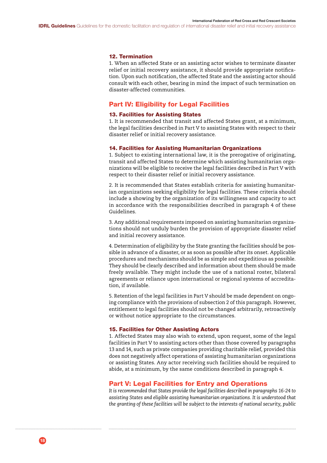#### 12. Termination

1. When an affected State or an assisting actor wishes to terminate disaster relief or initial recovery assistance, it should provide appropriate notification. Upon such notification, the affected State and the assisting actor should consult with each other, bearing in mind the impact of such termination on disaster-affected communities.

#### Part IV: Eligibility for Legal Facilities

#### 13. Facilities for Assisting States

1. It is recommended that transit and affected States grant, at a minimum, the legal facilities described in Part V to assisting States with respect to their disaster relief or initial recovery assistance.

#### 14. Facilities for Assisting Humanitarian Organizations

1. Subject to existing international law, it is the prerogative of originating, transit and affected States to determine which assisting humanitarian organizations will be eligible to receive the legal facilities described in Part V with respect to their disaster relief or initial recovery assistance.

2. It is recommended that States establish criteria for assisting humanitarian organizations seeking eligibility for legal facilities. These criteria should include a showing by the organization of its willingness and capacity to act in accordance with the responsibilities described in paragraph 4 of these Guidelines.

3. Any additional requirements imposed on assisting humanitarian organizations should not unduly burden the provision of appropriate disaster relief and initial recovery assistance.

4. Determination of eligibility by the State granting the facilities should be possible in advance of a disaster, or as soon as possible after its onset. Applicable procedures and mechanisms should be as simple and expeditious as possible. They should be clearly described and information about them should be made freely available. They might include the use of a national roster, bilateral agreements or reliance upon international or regional systems of accreditation, if available.

5. Retention of the legal facilities in Part V should be made dependent on ongoing compliance with the provisions of subsection 2 of this paragraph. However, entitlement to legal facilities should not be changed arbitrarily, retroactively or without notice appropriate to the circumstances.

#### 15. Facilities for Other Assisting Actors

1. Affected States may also wish to extend, upon request, some of the legal facilities in Part V to assisting actors other than those covered by paragraphs 13 and 14, such as private companies providing charitable relief, provided this does not negatively affect operations of assisting humanitarian organizations or assisting States. Any actor receiving such facilities should be required to abide, at a minimum, by the same conditions described in paragraph 4.

#### Part V: Legal Facilities for Entry and Operations

*It is recommended that States provide the legal facilities described in paragraphs 16-24 to assisting States and eligible assisting humanitarian organizations. It is understood that the granting of these facilities will be subject to the interests of national security, public*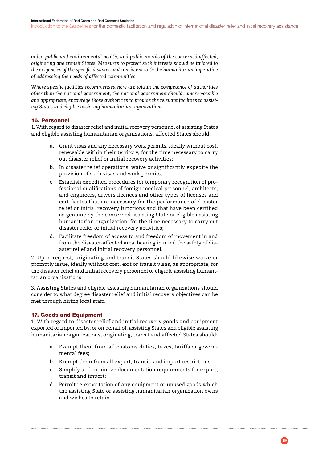*order, public and environmental health, and public morals of the concerned affected, originating and transit States. Measures to protect such interests should be tailored to the exigencies of the specific disaster and consistent with the humanitarian imperative of addressing the needs of affected communities.*

*Where specific facilities recommended here are within the competence of authorities other than the national government, the national government should, where possible and appropriate, encourage those authorities to provide the relevant facilities to assisting States and eligible assisting humanitarian organizations.*

#### 16. Personnel

1. With regard to disaster relief and initial recovery personnel of assisting States and eligible assisting humanitarian organizations, affected States should:

- a. Grant visas and any necessary work permits, ideally without cost, renewable within their territory, for the time necessary to carry out disaster relief or initial recovery activities;
- b. In disaster relief operations, waive or significantly expedite the provision of such visas and work permits;
- c. Establish expedited procedures for temporary recognition of professional qualifications of foreign medical personnel, architects, and engineers, drivers licences and other types of licenses and certificates that are necessary for the performance of disaster relief or initial recovery functions and that have been certified as genuine by the concerned assisting State or eligible assisting humanitarian organization, for the time necessary to carry out disaster relief or initial recovery activities;
- d. Facilitate freedom of access to and freedom of movement in and from the disaster-affected area, bearing in mind the safety of disaster relief and initial recovery personnel.

2. Upon request, originating and transit States should likewise waive or promptly issue, ideally without cost, exit or transit visas, as appropriate, for the disaster relief and initial recovery personnel of eligible assisting humanitarian organizations.

3. Assisting States and eligible assisting humanitarian organizations should consider to what degree disaster relief and initial recovery objectives can be met through hiring local staff.

#### 17. Goods and Equipment

1. With regard to disaster relief and initial recovery goods and equipment exported or imported by, or on behalf of, assisting States and eligible assisting humanitarian organizations, originating, transit and affected States should:

- a. Exempt them from all customs duties, taxes, tariffs or governmental fees;
- b. Exempt them from all export, transit, and import restrictions;
- c. Simplify and minimize documentation requirements for export, transit and import;
- d. Permit re-exportation of any equipment or unused goods which the assisting State or assisting humanitarian organization owns and wishes to retain.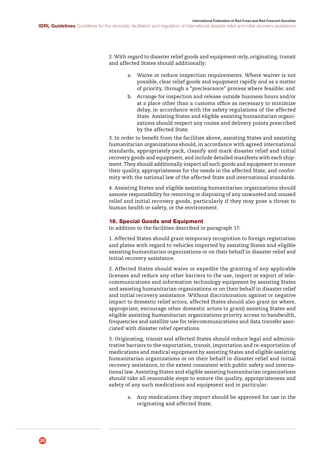2. With regard to disaster relief goods and equipment only, originating, transit and affected States should additionally:

- a. Waive or reduce inspection requirements. Where waiver is not possible, clear relief goods and equipment rapidly and as a matter of priority, through a "preclearance" process where feasible; and
- b. Arrange for inspection and release outside business hours and/or at a place other than a customs office as necessary to minimize delay, in accordance with the safety regulations of the affected State. Assisting States and eligible assisting humanitarian organizations should respect any routes and delivery points prescribed by the affected State.

3. In order to benefit from the facilities above, assisting States and assisting humanitarian organizations should, in accordance with agreed international standards, appropriately pack, classify and mark disaster relief and initial recovery goods and equipment, and include detailed manifests with each shipment. They should additionally inspect all such goods and equipment to ensure their quality, appropriateness for the needs in the affected State, and conformity with the national law of the affected State and international standards.

4. Assisting States and eligible assisting humanitarian organizations should assume responsibility for removing or disposing of any unwanted and unused relief and initial recovery goods, particularly if they may pose a threat to human health or safety, or the environment.

#### 18. Special Goods and Equipment

In addition to the facilities described in paragraph 17:

1. Affected States should grant temporary recognition to foreign registration and plates with regard to vehicles imported by assisting States and eligible assisting humanitarian organizations or on their behalf in disaster relief and initial recovery assistance.

2. Affected States should waive or expedite the granting of any applicable licenses and reduce any other barriers to the use, import or export of telecommunications and information technology equipment by assisting States and assisting humanitarian organizations or on their behalf in disaster relief and initial recovery assistance. Without discrimination against or negative impact to domestic relief actors, affected States should also grant (or where, appropriate, encourage other domestic actors to grant) assisting States and eligible assisting humanitarian organizations priority access to bandwidth, frequencies and satellite use for telecommunications and data transfer associated with disaster relief operations.

3. Originating, transit and affected States should reduce legal and administrative barriers to the exportation, transit, importation and re-exportation of medications and medical equipment by assisting States and eligible assisting humanitarian organizations or on their behalf in disaster relief and initial recovery assistance, to the extent consistent with public safety and international law. Assisting States and eligible assisting humanitarian organizations should take all reasonable steps to ensure the quality, appropriateness and safety of any such medications and equipment and in particular:

a. Any medications they import should be approved for use in the originating and affected State;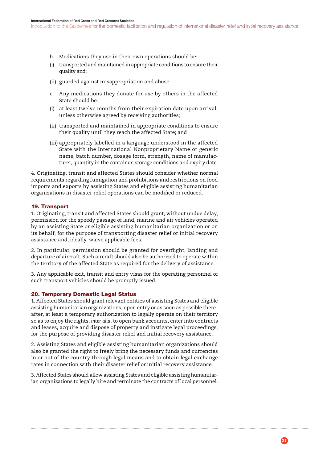- b. Medications they use in their own operations should be:
- (i) transported and maintained in appropriate conditions to ensure their quality and;
- (ii) guarded against misappropriation and abuse.
- c. Any medications they donate for use by others in the affected State should be:
- (i) at least twelve months from their expiration date upon arrival, unless otherwise agreed by receiving authorities;
- (ii) transported and maintained in appropriate conditions to ensure their quality until they reach the affected State; and
- (iii) appropriately labelled in a language understood in the affected State with the International Nonproprietary Name or generic name, batch number, dosage form, strength, name of manufacturer, quantity in the container, storage conditions and expiry date.

4. Originating, transit and affected States should consider whether normal requirements regarding fumigation and prohibitions and restrictions on food imports and exports by assisting States and eligible assisting humanitarian organizations in disaster relief operations can be modified or reduced.

#### 19. Transport

1. Originating, transit and affected States should grant, without undue delay, permission for the speedy passage of land, marine and air vehicles operated by an assisting State or eligible assisting humanitarian organization or on its behalf, for the purpose of transporting disaster relief or initial recovery assistance and, ideally, waive applicable fees.

2. In particular, permission should be granted for overflight, landing and departure of aircraft. Such aircraft should also be authorized to operate within the territory of the affected State as required for the delivery of assistance.

3. Any applicable exit, transit and entry visas for the operating personnel of such transport vehicles should be promptly issued.

#### 20. Temporary Domestic Legal Status

1. Affected States should grant relevant entities of assisting States and eligible assisting humanitarian organizations, upon entry or as soon as possible thereafter, at least a temporary authorization to legally operate on their territory so as to enjoy the rights, *inter alia*, to open bank accounts, enter into contracts and leases, acquire and dispose of property and instigate legal proceedings, for the purpose of providing disaster relief and initial recovery assistance.

2. Assisting States and eligible assisting humanitarian organizations should also be granted the right to freely bring the necessary funds and currencies in or out of the country through legal means and to obtain legal exchange rates in connection with their disaster relief or initial recovery assistance.

3. Affected States should allow assisting States and eligible assisting humanitarian organizations to legally hire and terminate the contracts of local personnel.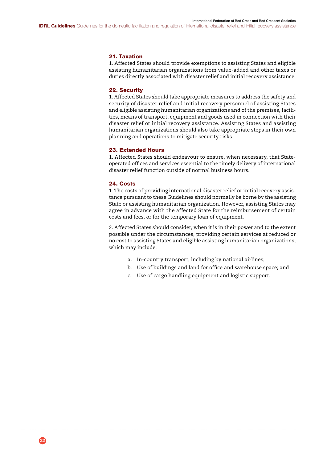#### 21. Taxation

1. Affected States should provide exemptions to assisting States and eligible assisting humanitarian organizations from value-added and other taxes or duties directly associated with disaster relief and initial recovery assistance.

#### 22. Security

1. Affected States should take appropriate measures to address the safety and security of disaster relief and initial recovery personnel of assisting States and eligible assisting humanitarian organizations and of the premises, facilities, means of transport, equipment and goods used in connection with their disaster relief or initial recovery assistance. Assisting States and assisting humanitarian organizations should also take appropriate steps in their own planning and operations to mitigate security risks.

#### 23. Extended Hours

1. Affected States should endeavour to ensure, when necessary, that Stateoperated offices and services essential to the timely delivery of international disaster relief function outside of normal business hours.

#### 24. Costs

22

1. The costs of providing international disaster relief or initial recovery assistance pursuant to these Guidelines should normally be borne by the assisting State or assisting humanitarian organization. However, assisting States may agree in advance with the affected State for the reimbursement of certain costs and fees, or for the temporary loan of equipment.

2. Affected States should consider, when it is in their power and to the extent possible under the circumstances, providing certain services at reduced or no cost to assisting States and eligible assisting humanitarian organizations, which may include:

- a. In-country transport, including by national airlines;
- b. Use of buildings and land for office and warehouse space; and
- c. Use of cargo handling equipment and logistic support.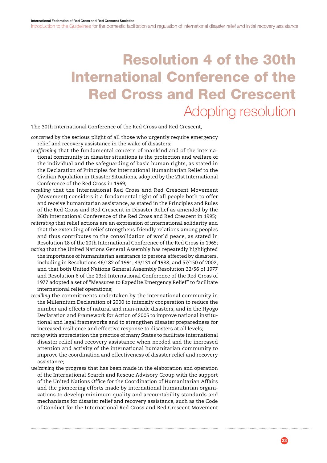### Resolution 4 of the 30th International Conference of the Red Cross and Red Crescent Adopting resolution

The 30th International Conference of the Red Cross and Red Crescent,

*concerned* by the serious plight of all those who urgently require emergency relief and recovery assistance in the wake of disasters;

- *reaffirming* that the fundamental concern of mankind and of the international community in disaster situations is the protection and welfare of the individual and the safeguarding of basic human rights, as stated in the Declaration of Principles for International Humanitarian Relief to the Civilian Population in Disaster Situations, adopted by the 21st International Conference of the Red Cross in 1969;
- *recalling* that the International Red Cross and Red Crescent Movement (Movement) considers it a fundamental right of all people both to offer and receive humanitarian assistance, as stated in the Principles and Rules of the Red Cross and Red Crescent in Disaster Relief as amended by the 26th International Conference of the Red Cross and Red Crescent in 1995;
- *reiterating* that relief actions are an expression of international solidarity and that the extending of relief strengthens friendly relations among peoples and thus contributes to the consolidation of world peace, as stated in Resolution 18 of the 20th International Conference of the Red Cross in 1965;
- *noting* that the United Nations General Assembly has repeatedly highlighted the importance of humanitarian assistance to persons affected by disasters, including in Resolutions 46/182 of 1991, 43/131 of 1988, and 57/150 of 2002, and that both United Nations General Assembly Resolution 32/56 of 1977 and Resolution 6 of the 23rd International Conference of the Red Cross of 1977 adopted a set of "Measures to Expedite Emergency Relief" to facilitate international relief operations;
- *recalling* the commitments undertaken by the international community in the Millennium Declaration of 2000 to intensify cooperation to reduce the number and effects of natural and man-made disasters, and in the Hyogo Declaration and Framework for Action of 2005 to improve national institutional and legal frameworks and to strengthen disaster preparedness for increased resilience and effective response to disasters at all levels;
- *noting* with appreciation the practice of many States to facilitate international disaster relief and recovery assistance when needed and the increased attention and activity of the international humanitarian community to improve the coordination and effectiveness of disaster relief and recovery assistance;
- *welcoming* the progress that has been made in the elaboration and operation of the International Search and Rescue Advisory Group with the support of the United Nations Office for the Coordination of Humanitarian Affairs and the pioneering efforts made by international humanitarian organizations to develop minimum quality and accountability standards and mechanisms for disaster relief and recovery assistance, such as the Code of Conduct for the International Red Cross and Red Crescent Movement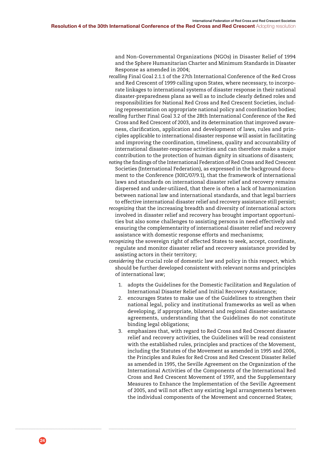and Non-Governmental Organizations (NGOs) in Disaster Relief of 1994 and the Sphere Humanitarian Charter and Minimum Standards in Disaster Response as amended in 2004;

- *recalling* Final Goal 2.1.1 of the 27th International Conference of the Red Cross and Red Crescent of 1999 calling upon States, where necessary, to incorporate linkages to international systems of disaster response in their national disaster-preparedness plans as well as to include clearly defined roles and responsibilities for National Red Cross and Red Crescent Societies, including representation on appropriate national policy and coordination bodies;
- *recalling* further Final Goal 3.2 of the 28th International Conference of the Red Cross and Red Crescent of 2003, and its determination that improved awareness, clarification, application and development of laws, rules and principles applicable to international disaster response will assist in facilitating and improving the coordination, timeliness, quality and accountability of international disaster-response activities and can therefore make a major contribution to the protection of human dignity in situations of disasters;
- *noting* the findings of the International Federation of Red Cross and Red Crescent Societies (International Federation), as expressed in the background document to the Conference (30IC/07/9.1), that the framework of international laws and standards on international disaster relief and recovery remains dispersed and under-utilized, that there is often a lack of harmonization between national law and international standards, and that legal barriers to effective international disaster relief and recovery assistance still persist;
- *recognizing* that the increasing breadth and diversity of international actors involved in disaster relief and recovery has brought important opportunities but also some challenges to assisting persons in need effectively and ensuring the complementarity of international disaster relief and recovery assistance with domestic response efforts and mechanisms;
- *recognizing* the sovereign right of affected States to seek, accept, coordinate, regulate and monitor disaster relief and recovery assistance provided by assisting actors in their territory;
- *considering* the crucial role of domestic law and policy in this respect, which should be further developed consistent with relevant norms and principles of international law;
	- 1. adopts the Guidelines for the Domestic Facilitation and Regulation of International Disaster Relief and Initial Recovery Assistance;
	- 2. encourages States to make use of the Guidelines to strengthen their national legal, policy and institutional frameworks as well as when developing, if appropriate, bilateral and regional disaster-assistance agreements, understanding that the Guidelines do not constitute binding legal obligations;
	- 3. emphasizes that, with regard to Red Cross and Red Crescent disaster relief and recovery activities, the Guidelines will be read consistent with the established rules, principles and practices of the Movement, including the Statutes of the Movement as amended in 1995 and 2006, the Principles and Rules for Red Cross and Red Crescent Disaster Relief as amended in 1995, the Seville Agreement on the Organization of the International Activities of the Components of the International Red Cross and Red Crescent Movement of 1997, and the Supplementary Measures to Enhance the Implementation of the Seville Agreement of 2005, and will not affect any existing legal arrangements between the individual components of the Movement and concerned States;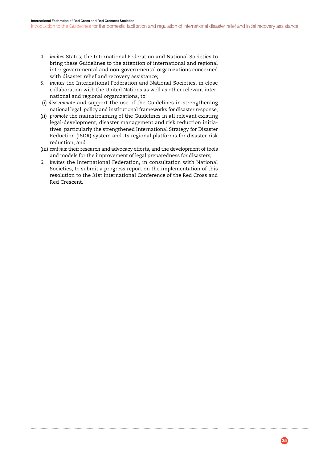- 4. *invites* States, the International Federation and National Societies to bring these Guidelines to the attention of international and regional inter-governmental and non-governmental organizations concerned with disaster relief and recovery assistance;
- 5. *invites* the International Federation and National Societies, in close collaboration with the United Nations as well as other relevant international and regional organizations, to:
- (i) *disseminate* and support the use of the Guidelines in strengthening national legal, policy and institutional frameworks for disaster response;
- (ii) *promote* the mainstreaming of the Guidelines in all relevant existing legal-development, disaster management and risk reduction initiatives, particularly the strengthened International Strategy for Disaster Reduction (ISDR) system and its regional platforms for disaster risk reduction; and
- (iii) *continue* their research and advocacy efforts, and the development of tools and models for the improvement of legal preparedness for disasters;
- 6. *invites* the International Federation, in consultation with National Societies, to submit a progress report on the implementation of this resolution to the 31st International Conference of the Red Cross and Red Crescent.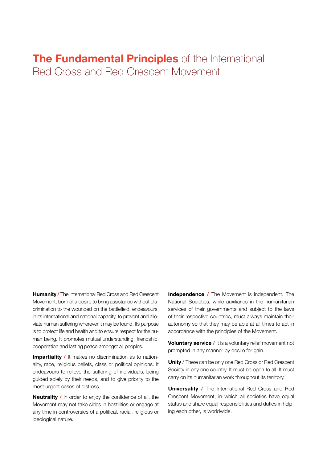### The Fundamental Principles of the International Red Cross and Red Crescent Movement

**Humanity / The International Red Cross and Red Crescent** Movement, born of a desire to bring assistance without discrimination to the wounded on the battlefield, endeavours, in its international and national capacity, to prevent and alleviate human suffering wherever it may be found. Its purpose is to protect life and health and to ensure respect for the human being. It promotes mutual understanding, friendship, cooperation and lasting peace amongst all peoples.

**Impartiality / It makes no discrimination as to nation**ality, race, religious beliefs, class or political opinions. It endeavours to relieve the suffering of individuals, being guided solely by their needs, and to give priority to the most urgent cases of distress.

Neutrality / In order to enjoy the confidence of all, the Movement may not take sides in hostilities or engage at any time in controversies of a political, racial, religious or ideological nature.

Independence / The Movement is independent. The National Societies, while auxiliaries in the humanitarian services of their governments and subject to the laws of their respective countries, must always maintain their autonomy so that they may be able at all times to act in accordance with the principles of the Movement.

Voluntary service / It is a voluntary relief movement not prompted in any manner by desire for gain.

Unity / There can be only one Red Cross or Red Crescent Society in any one country. It must be open to all. It must carry on its humanitarian work throughout its territory.

Universality / The International Red Cross and Red Crescent Movement, in which all societies have equal status and share equal responsibilities and duties in helping each other, is worldwide.